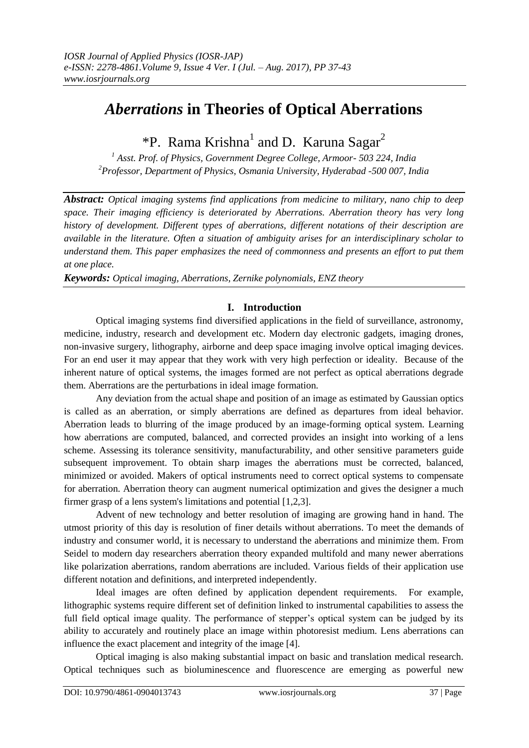# *Aberrations* **in Theories of Optical Aberrations**

\*P. Rama Krishna<sup>1</sup> and D. Karuna Sagar<sup>2</sup>

*<sup>1</sup> Asst. Prof. of Physics, Government Degree College, Armoor- 503 224, India <sup>2</sup>Professor, Department of Physics, Osmania University, Hyderabad -500 007, India*

*Abstract: Optical imaging systems find applications from medicine to military, nano chip to deep space. Their imaging efficiency is deteriorated by Aberrations. Aberration theory has very long history of development. Different types of aberrations, different notations of their description are available in the literature. Often a situation of ambiguity arises for an interdisciplinary scholar to understand them. This paper emphasizes the need of commonness and presents an effort to put them at one place.*

*Keywords: Optical imaging, Aberrations, Zernike polynomials, ENZ theory*

## **I. Introduction**

Optical imaging systems find diversified applications in the field of surveillance, astronomy, medicine, industry, research and development etc. Modern day electronic gadgets, imaging drones, non-invasive surgery, lithography, airborne and deep space imaging involve optical imaging devices. For an end user it may appear that they work with very high perfection or ideality. Because of the inherent nature of optical systems, the images formed are not perfect as optical aberrations degrade them. Aberrations are the perturbations in ideal image formation.

Any deviation from the actual shape and position of an image as estimated by Gaussian optics is called as an aberration, or simply aberrations are defined as departures from ideal behavior. Aberration leads to blurring of the image produced by an image-forming optical system. Learning how aberrations are computed, balanced, and corrected provides an insight into working of a lens scheme. Assessing its tolerance sensitivity, manufacturability, and other sensitive parameters guide subsequent improvement. To obtain sharp images the aberrations must be corrected, balanced, minimized or avoided. Makers of optical instruments need to correct optical systems to compensate for aberration. Aberration theory can augment numerical optimization and gives the designer a much firmer grasp of a lens system's limitations and potential [1,2,3].

Advent of new technology and better resolution of imaging are growing hand in hand. The utmost priority of this day is resolution of finer details without aberrations. To meet the demands of industry and consumer world, it is necessary to understand the aberrations and minimize them. From Seidel to modern day researchers aberration theory expanded multifold and many newer aberrations like polarization aberrations, random aberrations are included. Various fields of their application use different notation and definitions, and interpreted independently.

Ideal images are often defined by application dependent requirements. For example, lithographic systems require different set of definition linked to instrumental capabilities to assess the full field optical image quality. The performance of stepper's optical system can be judged by its ability to accurately and routinely place an image within photoresist medium. Lens aberrations can influence the exact placement and integrity of the image [4].

Optical imaging is also making substantial impact on basic and translation medical research. Optical techniques such as bioluminescence and fluorescence are emerging as powerful new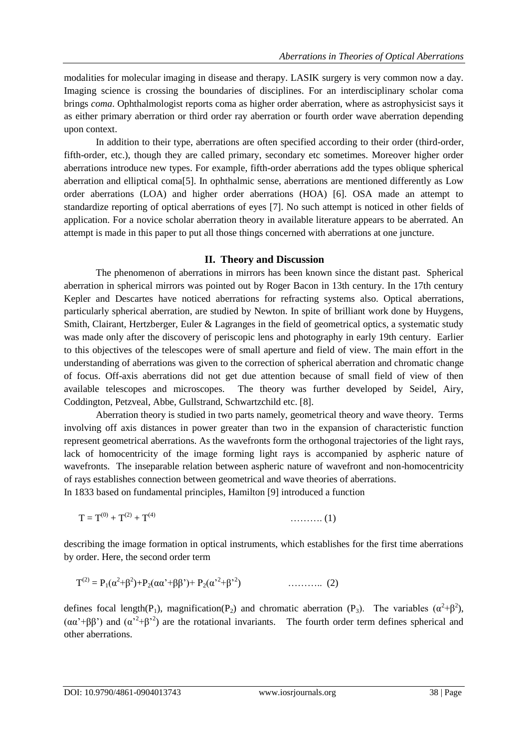modalities for molecular imaging in disease and therapy. LASIK surgery is very common now a day. Imaging science is crossing the boundaries of disciplines. For an interdisciplinary scholar coma brings *coma*. Ophthalmologist reports coma as higher order aberration, where as astrophysicist says it as either primary aberration or third order ray aberration or fourth order wave aberration depending upon context.

In addition to their type, aberrations are often specified according to their order (third-order, fifth-order, etc.), though they are called primary, secondary etc sometimes. Moreover higher order aberrations introduce new types. For example, fifth-order aberrations add the types oblique spherical aberration and elliptical coma[5]. In ophthalmic sense, aberrations are mentioned differently as Low order aberrations (LOA) and higher order aberrations (HOA) [6]. OSA made an attempt to standardize reporting of optical aberrations of eyes [7]. No such attempt is noticed in other fields of application. For a novice scholar aberration theory in available literature appears to be aberrated. An attempt is made in this paper to put all those things concerned with aberrations at one juncture.

#### **II. Theory and Discussion**

The phenomenon of aberrations in mirrors has been known since the distant past. Spherical aberration in spherical mirrors was pointed out by Roger Bacon in 13th century. In the 17th century Kepler and Descartes have noticed aberrations for refracting systems also. Optical aberrations, particularly spherical aberration, are studied by Newton. In spite of brilliant work done by Huygens, Smith, Clairant, Hertzberger, Euler & Lagranges in the field of geometrical optics, a systematic study was made only after the discovery of periscopic lens and photography in early 19th century. Earlier to this objectives of the telescopes were of small aperture and field of view. The main effort in the understanding of aberrations was given to the correction of spherical aberration and chromatic change of focus. Off-axis aberrations did not get due attention because of small field of view of then available telescopes and microscopes. The theory was further developed by Seidel, Airy, Coddington, Petzveal, Abbe, Gullstrand, Schwartzchild etc. [8].

Aberration theory is studied in two parts namely, geometrical theory and wave theory. Terms involving off axis distances in power greater than two in the expansion of characteristic function represent geometrical aberrations. As the wavefronts form the orthogonal trajectories of the light rays, lack of homocentricity of the image forming light rays is accompanied by aspheric nature of wavefronts. The inseparable relation between aspheric nature of wavefront and non-homocentricity of rays establishes connection between geometrical and wave theories of aberrations. In 1833 based on fundamental principles, Hamilton [9] introduced a function

$$
T = T^{(0)} + T^{(2)} + T^{(4)} \tag{1}
$$

describing the image formation in optical instruments, which establishes for the first time aberrations by order. Here, the second order term

$$
T^{(2)} = P_1(\alpha^2 + \beta^2) + P_2(\alpha \alpha^2 + \beta \beta^2) + P_2(\alpha^2 + \beta^2)
$$
 (2)

defines focal length(P<sub>1</sub>), magnification(P<sub>2</sub>) and chromatic aberration (P<sub>3</sub>). The variables  $(\alpha^2 + \beta^2)$ ,  $(\alpha \alpha^2 + \beta \beta^2)$  and  $(\alpha^2 + \beta^2)$  are the rotational invariants. The fourth order term defines spherical and other aberrations.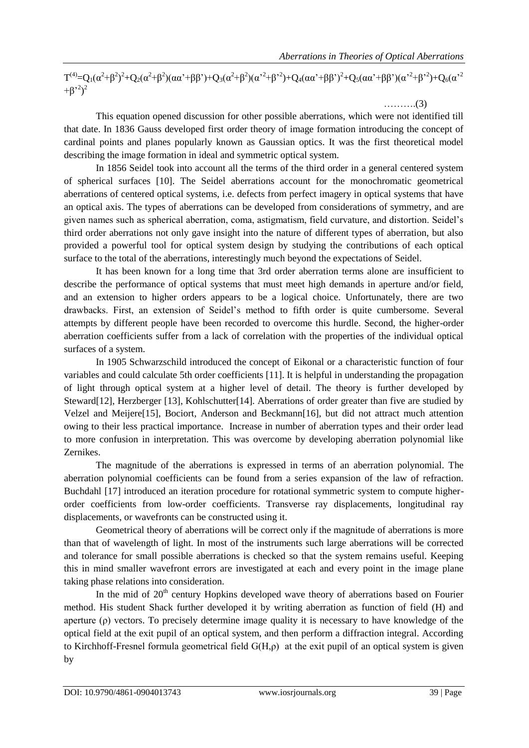$T^{(4)} = Q_1(\alpha^2 + \beta^2)^2 + Q_2(\alpha^2 + \beta^2)(\alpha\alpha^2 + \beta\beta^2) + Q_3(\alpha^2 + \beta^2)(\alpha^2 + \beta^2^2) + Q_4(\alpha\alpha^2 + \beta\beta^2)^2 + Q_5(\alpha\alpha^2 + \beta\beta^2)(\alpha^2 + \beta^2) + Q_6(\alpha^2 + \beta^2)$  $+\beta^{2})^{2}$ 

……….(3)

This equation opened discussion for other possible aberrations, which were not identified till that date. In 1836 Gauss developed first order theory of image formation introducing the concept of cardinal points and planes popularly known as Gaussian optics. It was the first theoretical model describing the image formation in ideal and symmetric optical system.

In 1856 Seidel took into account all the terms of the third order in a general centered system of spherical surfaces [10]. The Seidel aberrations account for the monochromatic geometrical aberrations of centered optical systems, i.e. defects from perfect imagery in optical systems that have an optical axis. The types of aberrations can be developed from considerations of symmetry, and are given names such as spherical aberration, coma, astigmatism, field curvature, and distortion. Seidel's third order aberrations not only gave insight into the nature of different types of aberration, but also provided a powerful tool for optical system design by studying the contributions of each optical surface to the total of the aberrations, interestingly much beyond the expectations of Seidel.

It has been known for a long time that 3rd order aberration terms alone are insufficient to describe the performance of optical systems that must meet high demands in aperture and/or field, and an extension to higher orders appears to be a logical choice. Unfortunately, there are two drawbacks. First, an extension of Seidel's method to fifth order is quite cumbersome. Several attempts by different people have been recorded to overcome this hurdle. Second, the higher-order aberration coefficients suffer from a lack of correlation with the properties of the individual optical surfaces of a system.

In 1905 Schwarzschild introduced the concept of Eikonal or a characteristic function of four variables and could calculate 5th order coefficients [11]. It is helpful in understanding the propagation of light through optical system at a higher level of detail. The theory is further developed by Steward[12], Herzberger [13], Kohlschutter[14]. Aberrations of order greater than five are studied by Velzel and Meijere[15], Bociort, Anderson and Beckmann[16], but did not attract much attention owing to their less practical importance. Increase in number of aberration types and their order lead to more confusion in interpretation. This was overcome by developing aberration polynomial like Zernikes.

The magnitude of the aberrations is expressed in terms of an aberration polynomial. The aberration polynomial coefficients can be found from a series expansion of the law of refraction. Buchdahl [17] introduced an iteration procedure for rotational symmetric system to compute higherorder coefficients from low-order coefficients. Transverse ray displacements, longitudinal ray displacements, or wavefronts can be constructed using it.

Geometrical theory of aberrations will be correct only if the magnitude of aberrations is more than that of wavelength of light. In most of the instruments such large aberrations will be corrected and tolerance for small possible aberrations is checked so that the system remains useful. Keeping this in mind smaller wavefront errors are investigated at each and every point in the image plane taking phase relations into consideration.

In the mid of  $20<sup>th</sup>$  century Hopkins developed wave theory of aberrations based on Fourier method. His student Shack further developed it by writing aberration as function of field (H) and aperture (ρ) vectors. To precisely determine image quality it is necessary to have knowledge of the optical field at the exit pupil of an optical system, and then perform a diffraction integral. According to Kirchhoff-Fresnel formula geometrical field G(H,ρ) at the exit pupil of an optical system is given by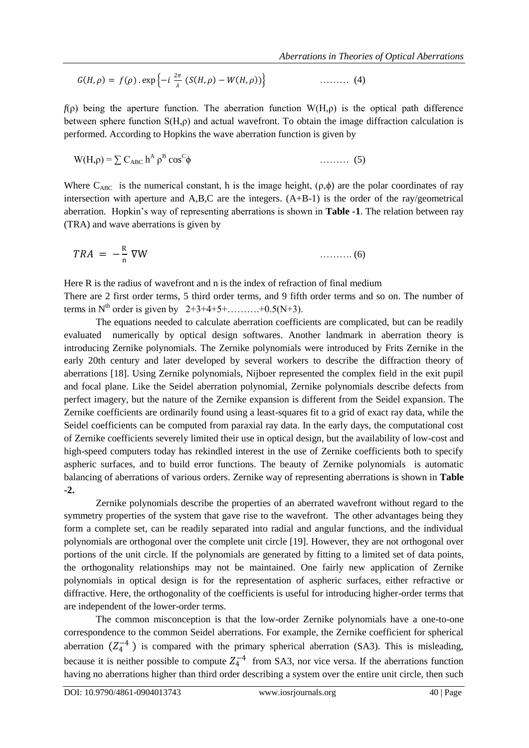$$
G(H,\rho) = f(\rho) \cdot \exp\left\{-i\ \frac{2\pi}{\lambda}\left(S(H,\rho) - W(H,\rho)\right)\right\} \tag{4}
$$

 $f(\rho)$  being the aperture function. The aberration function W(H, $\rho$ ) is the optical path difference between sphere function  $S(H,\rho)$  and actual wavefront. To obtain the image diffraction calculation is performed. According to Hopkins the wave aberration function is given by

$$
W(H,\rho) = \sum C_{ABC} h^A \rho^B \cos^C \phi \qquad (5)
$$

Where  $C_{ABC}$  is the numerical constant, h is the image height,  $(\rho, \phi)$  are the polar coordinates of ray intersection with aperture and A,B,C are the integers. (A+B-1) is the order of the ray/geometrical aberration. Hopkin's way of representing aberrations is shown in **Table -1**. The relation between ray (TRA) and wave aberrations is given by

$$
TRA = -\frac{R}{n} \nabla W \tag{6}
$$

Here R is the radius of wavefront and n is the index of refraction of final medium There are 2 first order terms, 5 third order terms, and 9 fifth order terms and so on. The number of terms in  $N^{th}$  order is given by  $2+3+4+5+$ ………..+0.5(N+3).

The equations needed to calculate aberration coefficients are complicated, but can be readily evaluated numerically by optical design softwares. Another landmark in aberration theory is introducing Zernike polynomials. The Zernike polynomials were introduced by Frits Zernike in the early 20th century and later developed by several workers to describe the diffraction theory of aberrations [18]. Using Zernike polynomials, Nijboer represented the complex field in the exit pupil and focal plane. Like the Seidel aberration polynomial, Zernike polynomials describe defects from perfect imagery, but the nature of the Zernike expansion is different from the Seidel expansion. The Zernike coefficients are ordinarily found using a least-squares fit to a grid of exact ray data, while the Seidel coefficients can be computed from paraxial ray data. In the early days, the computational cost of Zernike coefficients severely limited their use in optical design, but the availability of low-cost and high-speed computers today has rekindled interest in the use of Zernike coefficients both to specify aspheric surfaces, and to build error functions. The beauty of Zernike polynomials is automatic balancing of aberrations of various orders. Zernike way of representing aberrations is shown in **Table -2.**

Zernike polynomials describe the properties of an aberrated wavefront without regard to the symmetry properties of the system that gave rise to the wavefront. The other advantages being they form a complete set, can be readily separated into radial and angular functions, and the individual polynomials are orthogonal over the complete unit circle [19]. However, they are not orthogonal over portions of the unit circle. If the polynomials are generated by fitting to a limited set of data points, the orthogonality relationships may not be maintained. One fairly new application of Zernike polynomials in optical design is for the representation of aspheric surfaces, either refractive or diffractive. Here, the orthogonality of the coefficients is useful for introducing higher-order terms that are independent of the lower-order terms.

The common misconception is that the low-order Zernike polynomials have a one-to-one correspondence to the common Seidel aberrations. For example, the Zernike coefficient for spherical aberration  $(Z_4^{-4})$  is compared with the primary spherical aberration (SA3). This is misleading, because it is neither possible to compute  $Z_4^{-4}$  from SA3, nor vice versa. If the aberrations function having no aberrations higher than third order describing a system over the entire unit circle, then such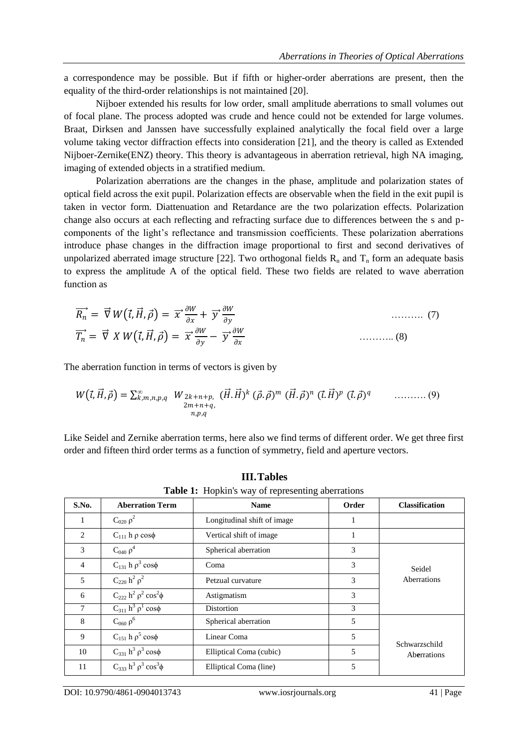a correspondence may be possible. But if fifth or higher-order aberrations are present, then the equality of the third-order relationships is not maintained [20].

Nijboer extended his results for low order, small amplitude aberrations to small volumes out of focal plane. The process adopted was crude and hence could not be extended for large volumes. Braat, Dirksen and Janssen have successfully explained analytically the focal field over a large volume taking vector diffraction effects into consideration [21], and the theory is called as Extended Nijboer-Zernike(ENZ) theory. This theory is advantageous in aberration retrieval, high NA imaging, imaging of extended objects in a stratified medium.

Polarization aberrations are the changes in the phase, amplitude and polarization states of optical field across the exit pupil. Polarization effects are observable when the field in the exit pupil is taken in vector form. Diattenuation and Retardance are the two polarization effects. Polarization change also occurs at each reflecting and refracting surface due to differences between the s and pcomponents of the light's reflectance and transmission coefficients. These polarization aberrations introduce phase changes in the diffraction image proportional to first and second derivatives of unpolarized aberrated image structure [22]. Two orthogonal fields  $R_n$  and  $T_n$  form an adequate basis to express the amplitude A of the optical field. These two fields are related to wave aberration function as

$$
\overrightarrow{R_n} = \overrightarrow{\nabla} W(\overrightarrow{t}, \overrightarrow{H}, \overrightarrow{\rho}) = \overrightarrow{x} \frac{\partial W}{\partial x} + \overrightarrow{y} \frac{\partial W}{\partial y}
$$
\n
$$
\overrightarrow{T_n} = \overrightarrow{\nabla} X W(\overrightarrow{t}, \overrightarrow{H}, \overrightarrow{\rho}) = \overrightarrow{x} \frac{\partial W}{\partial y} - \overrightarrow{y} \frac{\partial W}{\partial x}
$$
\n
$$
\dots \dots \dots \dots \dots \tag{8}
$$

The aberration function in terms of vectors is given by

$$
W(\vec{t}, \vec{H}, \vec{\rho}) = \sum_{\substack{k,m,n,p,q\\2m+n+q,\\n,p,q}} W_{2k+n+p, (\vec{H}, \vec{H})^k (\vec{\rho}, \vec{\rho})^m (\vec{H}, \vec{\rho})^n (\vec{t}, \vec{H})^p (\vec{t}, \vec{\rho})^q \quad \dots \dots \dots (9)
$$

Like Seidel and Zernike aberration terms, here also we find terms of different order. We get three first order and fifteen third order terms as a function of symmetry, field and aperture vectors.

| S.No.          | <b>Aberration Term</b>                | <b>Name</b>                 | Order | <b>Classification</b> |
|----------------|---------------------------------------|-----------------------------|-------|-----------------------|
| 1              | $C_{020} \rho^2$                      | Longitudinal shift of image | 1     |                       |
| 2              | $C_{111}$ h $\rho$ cos $\phi$         | Vertical shift of image     | 1     |                       |
| 3              | $C_{040} \rho^4$                      | Spherical aberration        | 3     |                       |
| $\overline{4}$ | $C_{131}$ h $\rho^3$ cos $\phi$       | Coma                        | 3     | Seidel<br>Aberrations |
| 5              | $C_{220}$ $h^2$ $\rho^2$              | Petzual curvature           | 3     |                       |
| 6              | $C_{222}$ $h^2$ $\rho^2$ $\cos^2\phi$ | Astigmatism                 | 3     |                       |
| 7              | $C_{311}$ $h^3$ $\rho^1$ cos $\phi$   | Distortion                  | 3     |                       |
| 8              | $C_{060} \rho^6$                      | Spherical aberration        | 5     |                       |
| 9              | $C_{151}$ h $\rho^5$ cos $\phi$       | Linear Coma                 | 5     | Schwarzschild         |
| 10             | $C_{331} h^3 \rho^3 \cos \phi$        | Elliptical Coma (cubic)     | 5     | Aberrations           |
| 11             | $C_{333} h^3 \rho^3 \cos^3 \phi$      | Elliptical Coma (line)      | 5     |                       |

**III.Tables Table 1:** Hopkin's way of representing aberrations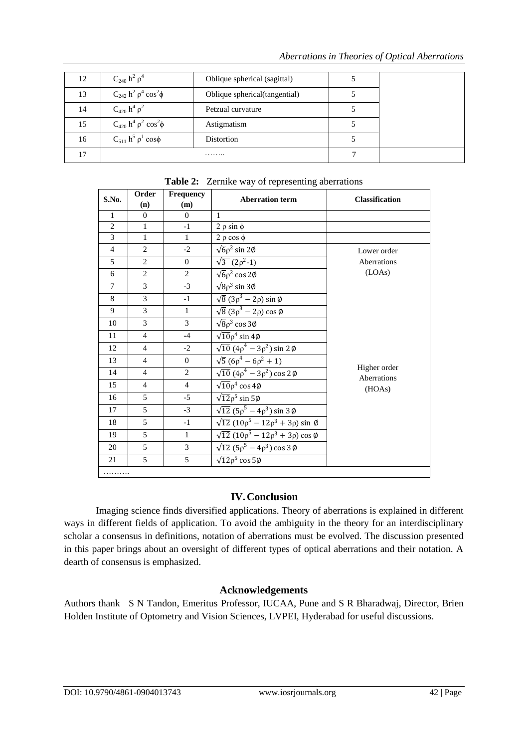| 12 | $C_{240}$ $h^2$ $\rho^4$                                  | Oblique spherical (sagittal)  |  |
|----|-----------------------------------------------------------|-------------------------------|--|
| 13 | $C_{242}$ h <sup>2</sup> $\rho^4$ cos <sup>2</sup> $\phi$ | Oblique spherical(tangential) |  |
| 14 | $C_{420}$ h <sup>4</sup> $\rho^2$                         | Petzual curvature             |  |
| 15 | $C_{420}$ h <sup>4</sup> $\rho^2$ cos <sup>2</sup> $\phi$ | Astigmatism                   |  |
| 16 | $C_{511} h^5 \rho^1 \cos \phi$                            | Distortion                    |  |
| 17 | .                                                         |                               |  |

| S.No.          | Order          | Frequency      |                                                        |                             |  |
|----------------|----------------|----------------|--------------------------------------------------------|-----------------------------|--|
|                | (n)            | (m)            | <b>Aberration term</b>                                 | <b>Classification</b>       |  |
| $\mathbf{1}$   | $\Omega$       | $\Omega$       | 1                                                      |                             |  |
| $\overline{c}$ | $\mathbf{1}$   | $-1$           | $2 \rho \sin \phi$                                     |                             |  |
| $\overline{3}$ | $\mathbf 1$    | $\mathbf{1}$   | $2 \rho \cos \phi$                                     |                             |  |
| $\overline{4}$ | $\overline{2}$ | $-2$           | $\sqrt{6} \rho^2 \sin 2\phi$                           | Lower order                 |  |
| 5              | $\overline{2}$ | $\overline{0}$ | $\sqrt{3}$ (2 $\rho^2$ -1)                             | Aberrations                 |  |
| 6              | $\mathbf{2}$   | $\overline{2}$ | $\sqrt{6} \rho^2 \cos 2\phi$                           | (LOAs)                      |  |
| $\tau$         | 3              | $-3$           | $\sqrt{8} \rho^3 \sin 3\phi$                           |                             |  |
| 8              | 3              | $-1$           | $\sqrt{8}(3\rho^3-2\rho)\sin\phi$                      |                             |  |
| 9              | 3              | $\mathbf{1}$   | $\sqrt{8}$ (3 $\rho^3$ – 2 $\rho$ ) cos Ø              |                             |  |
| 10             | 3              | $\overline{3}$ | $\sqrt{8} \rho^3 \cos 3\phi$                           |                             |  |
| 11             | $\overline{4}$ | $-4$           | $\sqrt{10} \rho^4 \sin 4\phi$                          |                             |  |
| 12             | $\overline{4}$ | $-2$           | $\sqrt{10}$ $(4\rho^4 - 3\rho^2)$ sin 2 Ø              |                             |  |
| 13             | $\overline{4}$ | $\overline{0}$ | $\sqrt{5} (6\rho^4 - 6\rho^2 + 1)$                     |                             |  |
| 14             | $\overline{4}$ | $\overline{2}$ | $\sqrt{10}$ (4 $\rho^4$ – 3 $\rho^2$ ) cos 2 $\phi$    | Higher order<br>Aberrations |  |
| 15             | $\overline{4}$ | $\overline{4}$ | $\sqrt{10} \rho^4 \cos 4\phi$                          | (HOAs)                      |  |
| 16             | 5              | $-5$           | $\sqrt{12}\rho^5$ sin 5 $\phi$                         |                             |  |
| 17             | 5              | $-3$           | $\sqrt{12}$ (5 $\rho^5$ – 4 $\rho^3$ ) sin 3 $\phi$    |                             |  |
| 18             | 5              | $-1$           | $\sqrt{12} (10\rho^5 - 12\rho^3 + 3\rho) \sin \phi$    |                             |  |
| 19             | 5              | $\mathbf{1}$   | $\sqrt{12} (10 \rho^5 - 12 \rho^3 + 3 \rho) \cos \phi$ |                             |  |
| 20             | 5              | $\overline{3}$ | $\sqrt{12}$ (5 $\rho^5 - 4\rho^3$ ) cos 3 Ø            |                             |  |
| 21             | 5              | 5              | $\sqrt{12}\rho^5 \cos 5\phi$                           |                             |  |
|                |                |                |                                                        |                             |  |

**Table 2:** Zernike way of representing aberrations

## **IV.Conclusion**

Imaging science finds diversified applications. Theory of aberrations is explained in different ways in different fields of application. To avoid the ambiguity in the theory for an interdisciplinary scholar a consensus in definitions, notation of aberrations must be evolved. The discussion presented in this paper brings about an oversight of different types of optical aberrations and their notation. A dearth of consensus is emphasized.

## **Acknowledgements**

Authors thank S N Tandon, Emeritus Professor, IUCAA, Pune and S R Bharadwaj, Director, Brien Holden Institute of Optometry and Vision Sciences, LVPEI, Hyderabad for useful discussions.